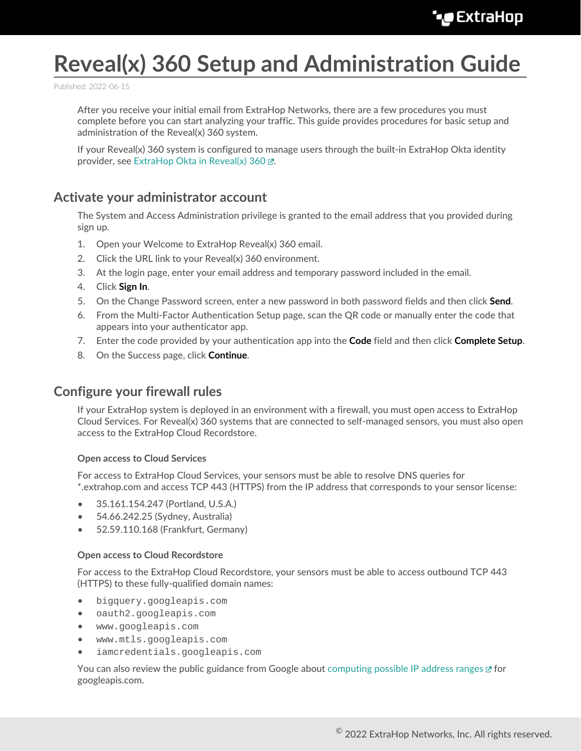# **Reveal(x) 360 Setup and Administration Guide**

Published: 2022-06-15

After you receive your initial email from ExtraHop Networks, there are a few procedures you must complete before you can start analyzing your traffic. This guide provides procedures for basic setup and administration of the Reveal(x) 360 system.

If your Reveal(x) 360 system is configured to manage users through the built-in ExtraHop Okta identity provider, see [ExtraHop Okta in Reveal\(x\) 360 .](https://docs.extrahop.com/8.9/rx360-eh-okta)..

## **Activate your administrator account**

The System and Access Administration privilege is granted to the email address that you provided during sign up.

- 1. Open your Welcome to ExtraHop Reveal(x) 360 email.
- 2. Click the URL link to your Reveal(x) 360 environment.
- 3. At the login page, enter your email address and temporary password included in the email.
- 4. Click **Sign In**.
- 5. On the Change Password screen, enter a new password in both password fields and then click **Send**.
- 6. From the Multi-Factor Authentication Setup page, scan the QR code or manually enter the code that appears into your authenticator app.
- 7. Enter the code provided by your authentication app into the **Code** field and then click **Complete Setup**.
- 8. On the Success page, click **Continue**.

## **Configure your firewall rules**

If your ExtraHop system is deployed in an environment with a firewall, you must open access to ExtraHop Cloud Services. For Reveal(x) 360 systems that are connected to self-managed sensors, you must also open access to the ExtraHop Cloud Recordstore.

#### **Open access to Cloud Services**

For access to ExtraHop Cloud Services, your sensors must be able to resolve DNS queries for \*.extrahop.com and access TCP 443 (HTTPS) from the IP address that corresponds to your sensor license:

- 35.161.154.247 (Portland, U.S.A.)
- 54.66.242.25 (Sydney, Australia)
- 52.59.110.168 (Frankfurt, Germany)

#### **Open access to Cloud Recordstore**

For access to the ExtraHop Cloud Recordstore, your sensors must be able to access outbound TCP 443 (HTTPS) to these fully-qualified domain names:

- bigquery.googleapis.com
- oauth2.googleapis.com
- www.googleapis.com
- www.mtls.googleapis.com
- iamcredentials.googleapis.com

You can also review the public guidance from Google about [computing possible IP address ranges](https://cloud.google.com/vpc/docs/configure-private-google-access#ip-addr-defaults)  $\mathbb{F}$  for googleapis.com.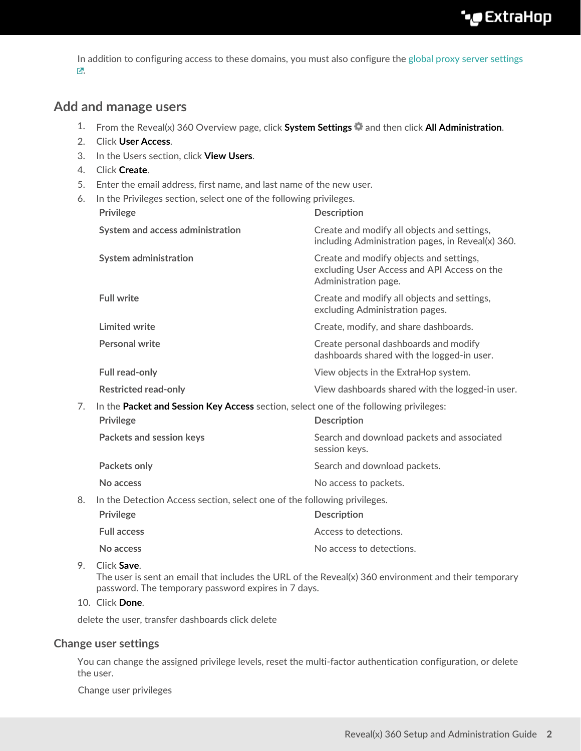In addition to configuring access to these domains, you must also configure the [global proxy server settings](https://docs.extrahop.com/8.9/eh-admin-ui-guide/#global-proxy-server) [.](https://docs.extrahop.com/8.9/eh-admin-ui-guide/#global-proxy-server)

## **Add and manage users**

- 1. From the Reveal(x) 360 Overview page, click **System Settings** and then click **All Administration**.
- 2. Click **User Access**.
- 3. In the Users section, click **View Users**.
- 4. Click **Create**.
- 5. Enter the email address, first name, and last name of the new user.
- 6. In the Privileges section, select one of the following privileges.

|    | <b>Privilege</b>                                                                      | <b>Description</b>                                                                                             |  |  |  |
|----|---------------------------------------------------------------------------------------|----------------------------------------------------------------------------------------------------------------|--|--|--|
|    | System and access administration                                                      | Create and modify all objects and settings,<br>including Administration pages, in Reveal(x) 360.               |  |  |  |
|    | <b>System administration</b>                                                          | Create and modify objects and settings,<br>excluding User Access and API Access on the<br>Administration page. |  |  |  |
|    | <b>Full write</b>                                                                     | Create and modify all objects and settings,<br>excluding Administration pages.                                 |  |  |  |
|    | Limited write                                                                         | Create, modify, and share dashboards.                                                                          |  |  |  |
|    | <b>Personal write</b>                                                                 | Create personal dashboards and modify<br>dashboards shared with the logged-in user.                            |  |  |  |
|    | <b>Full read-only</b>                                                                 | View objects in the ExtraHop system.                                                                           |  |  |  |
|    | <b>Restricted read-only</b>                                                           | View dashboards shared with the logged-in user.                                                                |  |  |  |
| 7. | In the Packet and Session Key Access section, select one of the following privileges: |                                                                                                                |  |  |  |
|    | <b>Privilege</b>                                                                      | <b>Description</b>                                                                                             |  |  |  |
|    | Packets and session keys                                                              | Search and download packets and associated<br>session keys.                                                    |  |  |  |
|    | Packets only                                                                          | Search and download packets.                                                                                   |  |  |  |
|    | No access                                                                             | No access to packets.                                                                                          |  |  |  |
| 8. | In the Detection Access section, select one of the following privileges.              |                                                                                                                |  |  |  |
|    | <b>Privilege</b>                                                                      | <b>Description</b>                                                                                             |  |  |  |
|    | <b>Full access</b>                                                                    | Access to detections.                                                                                          |  |  |  |
|    | No access                                                                             | No access to detections.                                                                                       |  |  |  |

#### 9. Click **Save**.

The user is sent an email that includes the URL of the Reveal(x) 360 environment and their temporary password. The temporary password expires in 7 days.

#### 10. Click **Done**.

delete the user, transfer dashboards click delete

#### **Change user settings**

You can change the assigned privilege levels, reset the multi-factor authentication configuration, or delete the user.

Change user privileges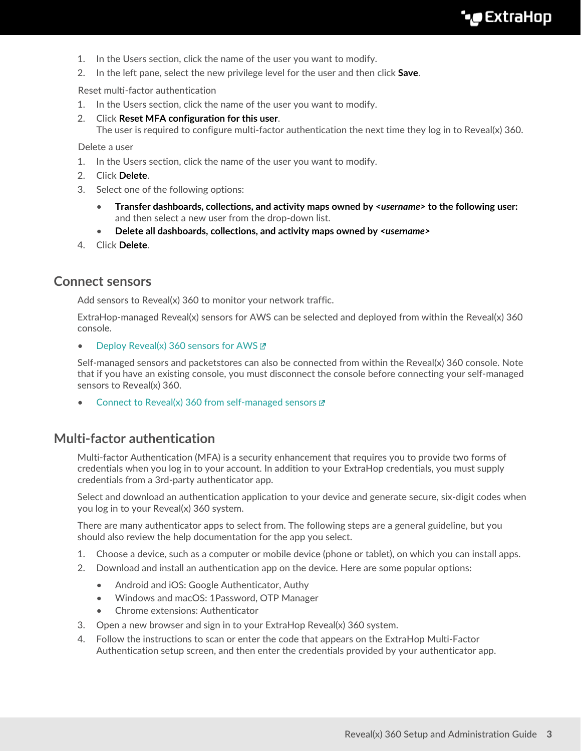- 1. In the Users section, click the name of the user you want to modify.
- 2. In the left pane, select the new privilege level for the user and then click **Save**.

Reset multi-factor authentication

- 1. In the Users section, click the name of the user you want to modify.
- 2. Click **Reset MFA configuration for this user**.

The user is required to configure multi-factor authentication the next time they log in to Reveal(x) 360.

Delete a user

- 1. In the Users section, click the name of the user you want to modify.
- 2. Click **Delete**.
- 3. Select one of the following options:
	- **Transfer dashboards, collections, and activity maps owned by** *<username>* **to the following user:** and then select a new user from the drop-down list.
	- **Delete all dashboards, collections, and activity maps owned by** *<username>*
- 4. Click **Delete**.

### **Connect sensors**

Add sensors to Reveal(x) 360 to monitor your network traffic.

ExtraHop-managed Reveal(x) sensors for AWS can be selected and deployed from within the Reveal(x) 360 console.

• Deploy Reveal(x) 360 sensors for AWS

Self-managed sensors and packetstores can also be connected from within the Reveal(x) 360 console. Note that if you have an existing console, you must disconnect the console before connecting your self-managed sensors to Reveal(x) 360.

[Connect to Reveal\(x\) 360 from self-managed sensors](https://docs.extrahop.com/8.9/configure-ccp)  $\mathbb{Z}$ 

## **Multi-factor authentication**

Multi-factor Authentication (MFA) is a security enhancement that requires you to provide two forms of credentials when you log in to your account. In addition to your ExtraHop credentials, you must supply credentials from a 3rd-party authenticator app.

Select and download an authentication application to your device and generate secure, six-digit codes when you log in to your Reveal(x) 360 system.

There are many authenticator apps to select from. The following steps are a general guideline, but you should also review the help documentation for the app you select.

- 1. Choose a device, such as a computer or mobile device (phone or tablet), on which you can install apps.
- 2. Download and install an authentication app on the device. Here are some popular options:
	- Android and iOS: Google Authenticator, Authy
	- Windows and macOS: 1Password, OTP Manager
	- Chrome extensions: Authenticator
- 3. Open a new browser and sign in to your ExtraHop Reveal(x) 360 system.
- 4. Follow the instructions to scan or enter the code that appears on the ExtraHop Multi-Factor Authentication setup screen, and then enter the credentials provided by your authenticator app.